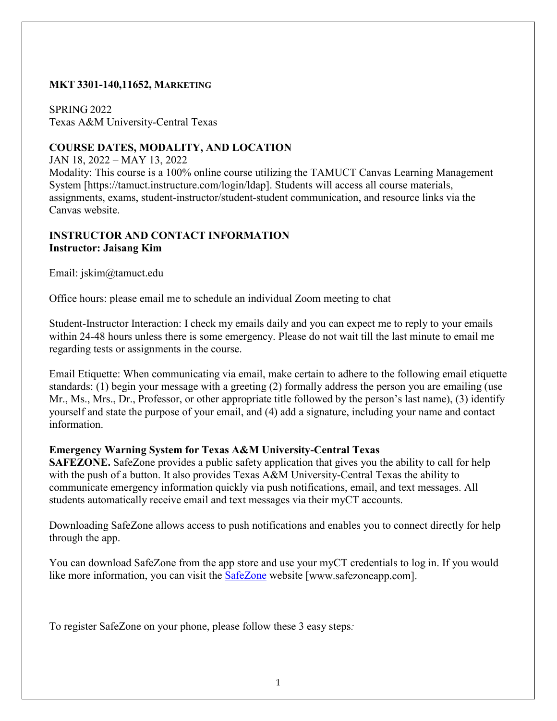### **MKT 3301-140,11652, MARKETING**

SPRING 2022 Texas A&M University-Central Texas

### **COURSE DATES, MODALITY, AND LOCATION**

JAN 18, 2022 – MAY 13, 2022

Modality: This course is a 100% online course utilizing the TAMUCT Canvas Learning Management System [https://tamuct.instructure.com/login/ldap]. Students will access all course materials, assignments, exams, student-instructor/student-student communication, and resource links via the Canvas website.

### **INSTRUCTOR AND CONTACT INFORMATION Instructor: Jaisang Kim**

Email: jskim@tamuct.edu

Office hours: please email me to schedule an individual Zoom meeting to chat

Student-Instructor Interaction: I check my emails daily and you can expect me to reply to your emails within 24-48 hours unless there is some emergency. Please do not wait till the last minute to email me regarding tests or assignments in the course.

Email Etiquette: When communicating via email, make certain to adhere to the following email etiquette standards: (1) begin your message with a greeting (2) formally address the person you are emailing (use Mr., Ms., Mrs., Dr., Professor, or other appropriate title followed by the person's last name), (3) identify yourself and state the purpose of your email, and (4) add a signature, including your name and contact information.

### **Emergency Warning System for Texas A&M University-Central Texas**

**SAFEZONE.** SafeZone provides a public safety application that gives you the ability to call for help with the push of a button. It also provides Texas A&M University-Central Texas the ability to communicate emergency information quickly via push notifications, email, and text messages. All students automatically receive email and text messages via their myCT accounts.

Downloading SafeZone allows access to push notifications and enables you to connect directly for help through the app.

You can download SafeZone from the app store and use your myCT credentials to log in. If you would like more information, you can visit the **SafeZone** website [www.safezoneapp.com].

To register SafeZone on your phone, please follow these 3 easy steps*:*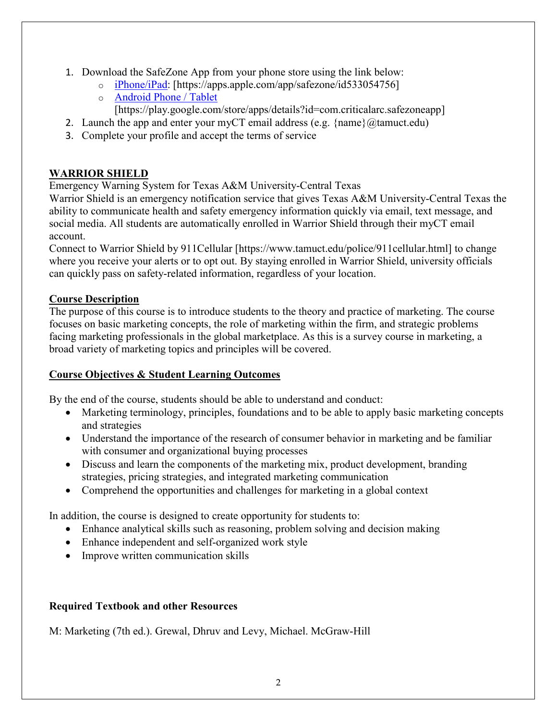- 1. Download the SafeZone App from your phone store using the link below:
	- o [iPhone/iPad:](https://apps.apple.com/app/safezone/id533054756) [https://apps.apple.com/app/safezone/id533054756]
	- o [Android Phone / Tablet](https://play.google.com/store/apps/details?id=com.criticalarc.safezoneapp)
		- [https://play.google.com/store/apps/details?id=com.criticalarc.safezoneapp]
- 2. Launch the app and enter your myCT email address (e.g.  $\{\text{name}\}\langle\omega\rangle$  tamuct.edu)
- 3. Complete your profile and accept the terms of service

## **WARRIOR SHIELD**

Emergency Warning System for Texas A&M University-Central Texas

Warrior Shield is an emergency notification service that gives Texas A&M University-Central Texas the ability to communicate health and safety emergency information quickly via email, text message, and social media. All students are automatically enrolled in Warrior Shield through their myCT email account.

Connect to Warrior Shield by 911Cellular [https://www.tamuct.edu/police/911cellular.html] to change where you receive your alerts or to opt out. By staying enrolled in Warrior Shield, university officials can quickly pass on safety-related information, regardless of your location.

### **Course Description**

The purpose of this course is to introduce students to the theory and practice of marketing. The course focuses on basic marketing concepts, the role of marketing within the firm, and strategic problems facing marketing professionals in the global marketplace. As this is a survey course in marketing, a broad variety of marketing topics and principles will be covered.

### **Course Objectives & Student Learning Outcomes**

By the end of the course, students should be able to understand and conduct:

- Marketing terminology, principles, foundations and to be able to apply basic marketing concepts and strategies
- Understand the importance of the research of consumer behavior in marketing and be familiar with consumer and organizational buying processes
- Discuss and learn the components of the marketing mix, product development, branding strategies, pricing strategies, and integrated marketing communication
- Comprehend the opportunities and challenges for marketing in a global context

In addition, the course is designed to create opportunity for students to:

- Enhance analytical skills such as reasoning, problem solving and decision making
- Enhance independent and self-organized work style
- Improve written communication skills

### **Required Textbook and other Resources**

M: Marketing (7th ed.). Grewal, Dhruv and Levy, Michael. McGraw-Hill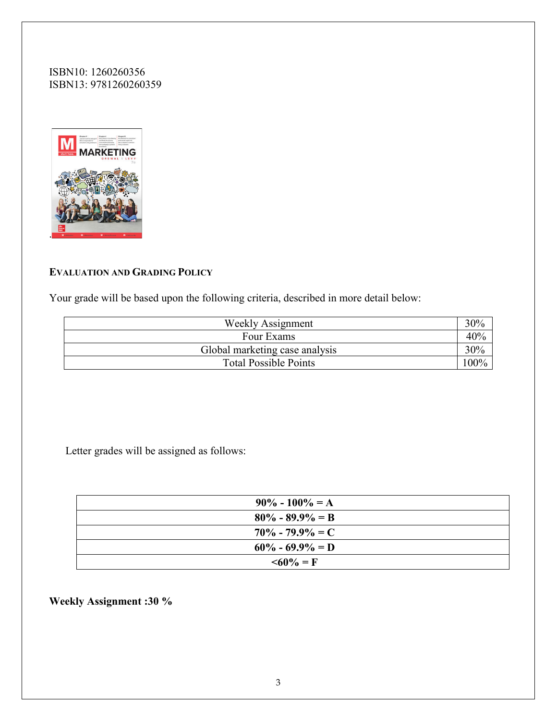ISBN10: 1260260356 ISBN13: 9781260260359



### **EVALUATION AND GRADING POLICY**

Your grade will be based upon the following criteria, described in more detail below:

| <b>Weekly Assignment</b>       | 30%     |
|--------------------------------|---------|
| Four Exams                     | 40%     |
| Global marketing case analysis | 30%     |
| <b>Total Possible Points</b>   | $100\%$ |

Letter grades will be assigned as follows:

| $90\% - 100\% = A$  |
|---------------------|
| $80\% - 89.9\% = B$ |
| $70\% - 79.9\% = C$ |
| $60\% - 69.9\% = D$ |
| $\leq 60\% = F$     |

**Weekly Assignment :30 %**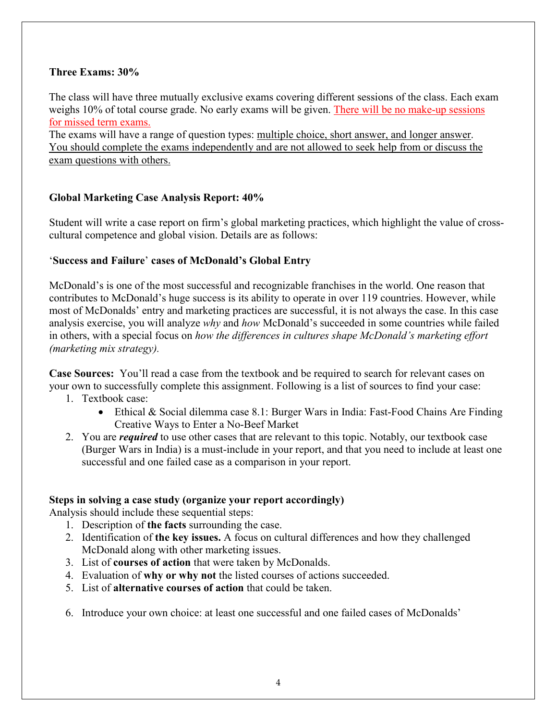### **Three Exams: 30%**

The class will have three mutually exclusive exams covering different sessions of the class. Each exam weighs 10% of total course grade. No early exams will be given. There will be no make-up sessions for missed term exams.

The exams will have a range of question types: multiple choice, short answer, and longer answer. You should complete the exams independently and are not allowed to seek help from or discuss the exam questions with others.

## **Global Marketing Case Analysis Report: 40%**

Student will write a case report on firm's global marketing practices, which highlight the value of crosscultural competence and global vision. Details are as follows:

## '**Success and Failure**' **cases of McDonald's Global Entry**

McDonald's is one of the most successful and recognizable franchises in the world. One reason that contributes to McDonald's huge success is its ability to operate in over 119 countries. However, while most of McDonalds' entry and marketing practices are successful, it is not always the case. In this case analysis exercise, you will analyze *why* and *how* McDonald's succeeded in some countries while failed in others, with a special focus on *how the differences in cultures shape McDonald's marketing effort (marketing mix strategy).* 

**Case Sources:** You'll read a case from the textbook and be required to search for relevant cases on your own to successfully complete this assignment. Following is a list of sources to find your case:

- 1. Textbook case:
	- Ethical & Social dilemma case 8.1: Burger Wars in India: Fast-Food Chains Are Finding Creative Ways to Enter a No-Beef Market
- 2. You are *required* to use other cases that are relevant to this topic. Notably, our textbook case (Burger Wars in India) is a must-include in your report, and that you need to include at least one successful and one failed case as a comparison in your report.

### **Steps in solving a case study (organize your report accordingly)**

Analysis should include these sequential steps:

- 1. Description of **the facts** surrounding the case.
- 2. Identification of **the key issues.** A focus on cultural differences and how they challenged McDonald along with other marketing issues.
- 3. List of **courses of action** that were taken by McDonalds.
- 4. Evaluation of **why or why not** the listed courses of actions succeeded.
- 5. List of **alternative courses of action** that could be taken.
- 6. Introduce your own choice: at least one successful and one failed cases of McDonalds'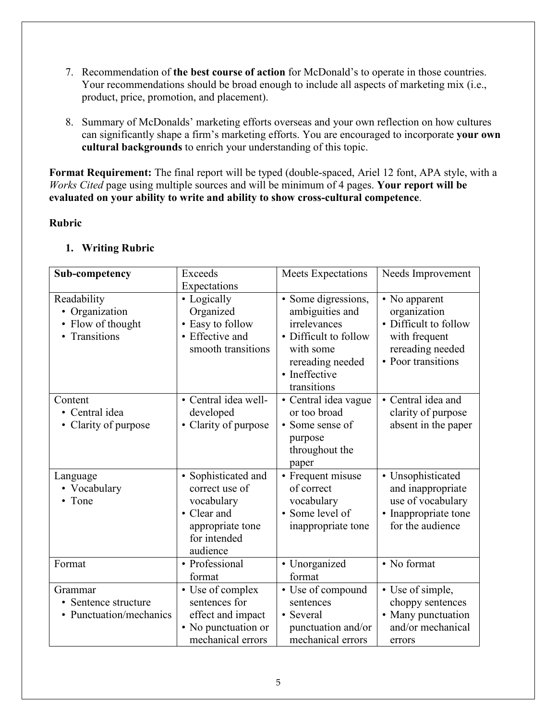- 7. Recommendation of **the best course of action** for McDonald's to operate in those countries. Your recommendations should be broad enough to include all aspects of marketing mix (i.e., product, price, promotion, and placement).
- 8. Summary of McDonalds' marketing efforts overseas and your own reflection on how cultures can significantly shape a firm's marketing efforts. You are encouraged to incorporate **your own cultural backgrounds** to enrich your understanding of this topic.

**Format Requirement:** The final report will be typed (double-spaced, Ariel 12 font, APA style, with a *Works Cited* page using multiple sources and will be minimum of 4 pages. **Your report will be evaluated on your ability to write and ability to show cross-cultural competence**.

## **Rubric**

## **1. Writing Rubric**

| Sub-competency                                                  | Exceeds<br>Expectations                                                                                            | <b>Meets Expectations</b>                                                                                                                        | Needs Improvement                                                                                                 |
|-----------------------------------------------------------------|--------------------------------------------------------------------------------------------------------------------|--------------------------------------------------------------------------------------------------------------------------------------------------|-------------------------------------------------------------------------------------------------------------------|
| Readability<br>• Organization<br>Flow of thought<br>Transitions | • Logically<br>Organized<br>• Easy to follow<br>• Effective and<br>smooth transitions                              | · Some digressions,<br>ambiguities and<br>irrelevances<br>• Difficult to follow<br>with some<br>rereading needed<br>• Ineffective<br>transitions | • No apparent<br>organization<br>• Difficult to follow<br>with frequent<br>rereading needed<br>• Poor transitions |
| Content<br>• Central idea<br>Clarity of purpose                 | • Central idea well-<br>developed<br>• Clarity of purpose                                                          | • Central idea vague<br>or too broad<br>• Some sense of<br>purpose<br>throughout the<br>paper                                                    | • Central idea and<br>clarity of purpose<br>absent in the paper                                                   |
| Language<br>• Vocabulary<br>• Tone                              | • Sophisticated and<br>correct use of<br>vocabulary<br>• Clear and<br>appropriate tone<br>for intended<br>audience | • Frequent misuse<br>of correct<br>vocabulary<br>• Some level of<br>inappropriate tone                                                           | • Unsophisticated<br>and inappropriate<br>use of vocabulary<br>• Inappropriate tone<br>for the audience           |
| Format                                                          | • Professional<br>format                                                                                           | • Unorganized<br>format                                                                                                                          | • No format                                                                                                       |
| Grammar<br>Sentence structure<br>• Punctuation/mechanics        | • Use of complex<br>sentences for<br>effect and impact<br>• No punctuation or<br>mechanical errors                 | • Use of compound<br>sentences<br>• Several<br>punctuation and/or<br>mechanical errors                                                           | • Use of simple,<br>choppy sentences<br>• Many punctuation<br>and/or mechanical<br>errors                         |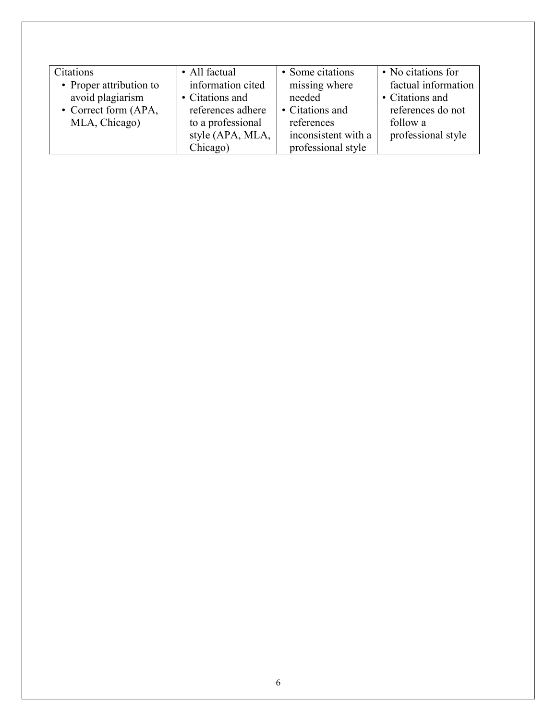| Citations               | • All factual     | • Some citations    | • No citations for  |
|-------------------------|-------------------|---------------------|---------------------|
| • Proper attribution to | information cited | missing where       | factual information |
| avoid plagiarism        | • Citations and   | needed              | • Citations and     |
| • Correct form (APA,    | references adhere | • Citations and     | references do not   |
| MLA, Chicago)           | to a professional | references          | follow a            |
|                         | style (APA, MLA,  | inconsistent with a | professional style  |
|                         | Chicago)          | professional style  |                     |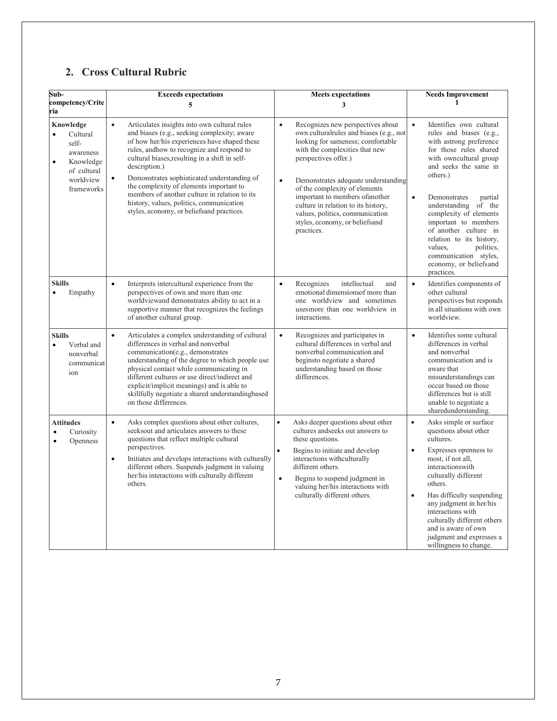# **2. Cross Cultural Rubric**

| Sub-                                                                                                                         | <b>Exceeds expectations</b>                                                                                                                                                                                                                                                                                                                                                                                                                                                                                  | <b>Meets expectations</b>                                                                                                                                                                                                                                                                                                                                                                                                                  | <b>Needs Improvement</b>                                                                                                                                                                                                                                                                                                                                                                                                                             |
|------------------------------------------------------------------------------------------------------------------------------|--------------------------------------------------------------------------------------------------------------------------------------------------------------------------------------------------------------------------------------------------------------------------------------------------------------------------------------------------------------------------------------------------------------------------------------------------------------------------------------------------------------|--------------------------------------------------------------------------------------------------------------------------------------------------------------------------------------------------------------------------------------------------------------------------------------------------------------------------------------------------------------------------------------------------------------------------------------------|------------------------------------------------------------------------------------------------------------------------------------------------------------------------------------------------------------------------------------------------------------------------------------------------------------------------------------------------------------------------------------------------------------------------------------------------------|
| competency/Crite<br>ria                                                                                                      | 5                                                                                                                                                                                                                                                                                                                                                                                                                                                                                                            | 3                                                                                                                                                                                                                                                                                                                                                                                                                                          | 1                                                                                                                                                                                                                                                                                                                                                                                                                                                    |
| Knowledge<br>Cultural<br>$\bullet$<br>self-<br>awareness<br>Knowledge<br>$\bullet$<br>of cultural<br>worldview<br>frameworks | $\bullet$<br>Articulates insights into own cultural rules<br>and biases (e.g., seeking complexity; aware<br>of how her/his experiences have shaped these<br>rules, andhow to recognize and respond to<br>cultural biases, resulting in a shift in self-<br>description.)<br>Demonstrates sophisticated understanding of<br>the complexity of elements important to<br>members of another culture in relation to its<br>history, values, politics, communication<br>styles, economy, or beliefsand practices. | $\bullet$<br>Recognizes new perspectives about<br>own culturalrules and biases (e.g., not<br>looking for sameness; comfortable<br>with the complexities that new<br>perspectives offer.)<br>Demonstrates adequate understanding<br>$\bullet$<br>of the complexity of elements<br>important to members of another<br>culture in relation to its history,<br>values, politics, communication<br>styles, economy, or beliefsand<br>practices. | $\bullet$<br>Identifies own cultural<br>rules and biases (e.g.,<br>with astrong preference<br>for those rules shared<br>with owncultural group<br>and seeks the same in<br>others.)<br>$\bullet$<br>Demonstrates<br>partial<br>understanding of the<br>complexity of elements<br>important to members<br>of another culture in<br>relation to its history,<br>politics,<br>values,<br>communication styles,<br>economy, or beliefs and<br>practices. |
| <b>Skills</b><br>Empathy<br>$\bullet$                                                                                        | Interprets intercultural experience from the<br>$\bullet$<br>perspectives of own and more than one<br>worldviewand demonstrates ability to act in a<br>supportive manner that recognizes the feelings<br>of another cultural group.                                                                                                                                                                                                                                                                          | $\bullet$<br>Recognizes<br>intellectual<br>and<br>emotional dimensions of more than<br>one worldview and sometimes<br>usesmore than one worldview in<br>interactions.                                                                                                                                                                                                                                                                      | $\bullet$<br>Identifies components of<br>other cultural<br>perspectives but responds<br>in all situations with own<br>worldview.                                                                                                                                                                                                                                                                                                                     |
| <b>Skills</b><br>Verbal and<br>$\bullet$<br>nonverbal<br>communicat<br>ion                                                   | $\bullet$<br>Articulates a complex understanding of cultural<br>differences in verbal and nonverbal<br>communication(e.g., demonstrates<br>understanding of the degree to which people use<br>physical contact while communicating in<br>different cultures or use direct/indirect and<br>explicit/implicit meanings) and is able to<br>skillfully negotiate a shared understandingbased<br>on those differences.                                                                                            | $\bullet$<br>Recognizes and participates in<br>cultural differences in verbal and<br>nonverbal communication and<br>beginsto negotiate a shared<br>understanding based on those<br>differences.                                                                                                                                                                                                                                            | $\bullet$<br>Identifies some cultural<br>differences in verbal<br>and nonverbal<br>communication and is<br>aware that<br>misunderstandings can<br>occur based on those<br>differences but is still<br>unable to negotiate a<br>sharedunderstanding.                                                                                                                                                                                                  |
| <b>Attitudes</b><br>Curiosity<br>$\bullet$<br>Openness<br>$\bullet$                                                          | $\bullet$<br>Asks complex questions about other cultures,<br>seeksout and articulates answers to these<br>questions that reflect multiple cultural<br>perspectives.<br>Initiates and develops interactions with culturally<br>$\bullet$<br>different others. Suspends judgment in valuing<br>her/his interactions with culturally different<br>others.                                                                                                                                                       | $\bullet$<br>Asks deeper questions about other<br>cultures and seeks out answers to<br>these questions.<br>$\bullet$<br>Begins to initiate and develop<br>interactions withculturally<br>different others.<br>$\bullet$<br>Begins to suspend judgment in<br>valuing her/his interactions with<br>culturally different others.                                                                                                              | $\bullet$<br>Asks simple or surface<br>questions about other<br>cultures.<br>Expresses openness to<br>$\bullet$<br>most, if not all.<br>interactionswith<br>culturally different<br>others.<br>Has difficulty suspending<br>$\bullet$<br>any judgment in her/his<br>interactions with<br>culturally different others<br>and is aware of own<br>judgment and expresses a<br>willingness to change.                                                    |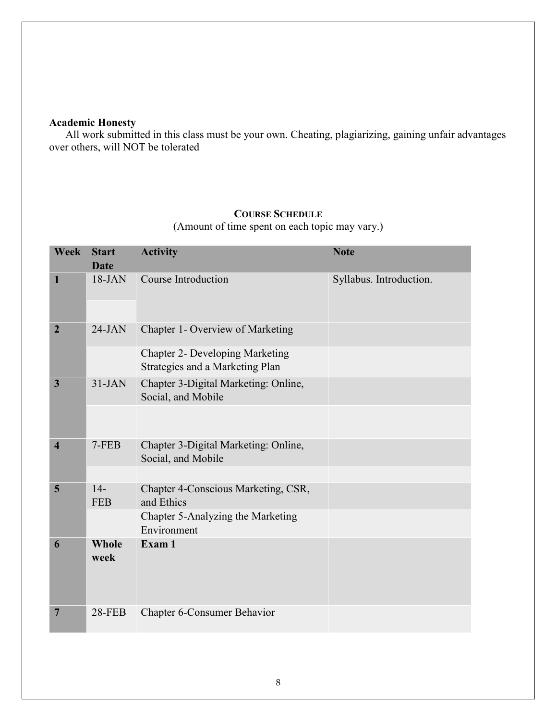# **Academic Honesty**

All work submitted in this class must be your own. Cheating, plagiarizing, gaining unfair advantages over others, will NOT be tolerated

**................** . . .

### **COURSE SCHEDULE**

(Amount of time spent on each topic may vary.)

| <b>Week</b>             | <b>Start</b><br><b>Date</b> | <b>Activity</b>                                                           | <b>Note</b>             |
|-------------------------|-----------------------------|---------------------------------------------------------------------------|-------------------------|
| 1                       | $18-JAN$                    | Course Introduction                                                       | Syllabus. Introduction. |
| $\overline{2}$          | $24-JAN$                    | Chapter 1- Overview of Marketing                                          |                         |
|                         |                             | <b>Chapter 2- Developing Marketing</b><br>Strategies and a Marketing Plan |                         |
| $\mathbf{3}$            | $31-JAN$                    | Chapter 3-Digital Marketing: Online,<br>Social, and Mobile                |                         |
|                         |                             |                                                                           |                         |
| $\overline{\mathbf{4}}$ | $7-FEB$                     | Chapter 3-Digital Marketing: Online,<br>Social, and Mobile                |                         |
|                         |                             |                                                                           |                         |
| 5                       | $14-$<br><b>FEB</b>         | Chapter 4-Conscious Marketing, CSR,<br>and Ethics                         |                         |
|                         |                             | Chapter 5-Analyzing the Marketing<br>Environment                          |                         |
| 6                       | Whole<br>week               | Exam 1                                                                    |                         |
| 7                       | <b>28-FEB</b>               | <b>Chapter 6-Consumer Behavior</b>                                        |                         |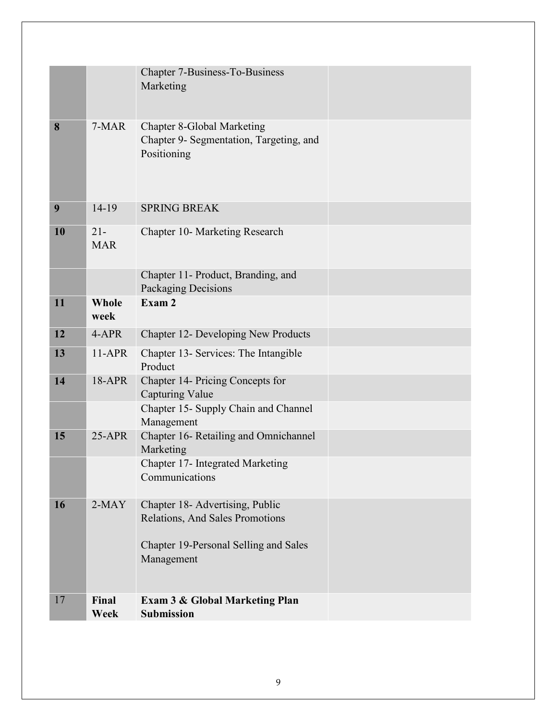|    |                      | Chapter 7-Business-To-Business<br>Marketing                                                 |  |
|----|----------------------|---------------------------------------------------------------------------------------------|--|
| 8  | 7-MAR                | <b>Chapter 8-Global Marketing</b><br>Chapter 9- Segmentation, Targeting, and<br>Positioning |  |
| 9  | $14-19$              | <b>SPRING BREAK</b>                                                                         |  |
| 10 | $21 -$<br><b>MAR</b> | Chapter 10- Marketing Research                                                              |  |
|    |                      | Chapter 11- Product, Branding, and<br>Packaging Decisions                                   |  |
| 11 | <b>Whole</b><br>week | Exam 2                                                                                      |  |
| 12 | 4-APR                | Chapter 12- Developing New Products                                                         |  |
| 13 | $11-APR$             | Chapter 13- Services: The Intangible<br>Product                                             |  |
| 14 | 18-APR               | Chapter 14- Pricing Concepts for<br>Capturing Value                                         |  |
|    |                      | Chapter 15- Supply Chain and Channel<br>Management                                          |  |
| 15 | $25-APR$             | Chapter 16- Retailing and Omnichannel<br>Marketing                                          |  |
|    |                      | Chapter 17- Integrated Marketing<br>Communications                                          |  |
| 16 | $2-MAY$              | Chapter 18- Advertising, Public<br>Relations, And Sales Promotions                          |  |
|    |                      | Chapter 19-Personal Selling and Sales<br>Management                                         |  |
| 17 | Final<br>Week        | <b>Exam 3 &amp; Global Marketing Plan</b><br><b>Submission</b>                              |  |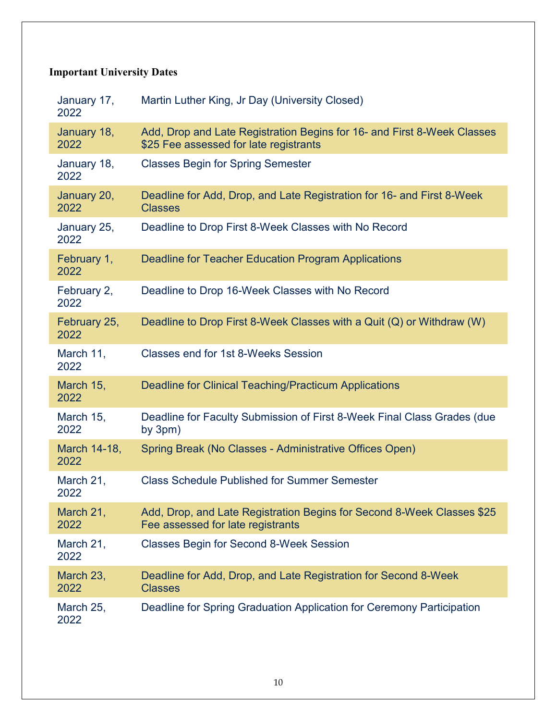# **Important University Dates**

| January 17,<br>2022  | Martin Luther King, Jr Day (University Closed)                                                                    |
|----------------------|-------------------------------------------------------------------------------------------------------------------|
| January 18,<br>2022  | Add, Drop and Late Registration Begins for 16- and First 8-Week Classes<br>\$25 Fee assessed for late registrants |
| January 18,<br>2022  | <b>Classes Begin for Spring Semester</b>                                                                          |
| January 20,<br>2022  | Deadline for Add, Drop, and Late Registration for 16- and First 8-Week<br><b>Classes</b>                          |
| January 25,<br>2022  | Deadline to Drop First 8-Week Classes with No Record                                                              |
| February 1,<br>2022  | Deadline for Teacher Education Program Applications                                                               |
| February 2,<br>2022  | Deadline to Drop 16-Week Classes with No Record                                                                   |
| February 25,<br>2022 | Deadline to Drop First 8-Week Classes with a Quit (Q) or Withdraw (W)                                             |
| March 11,<br>2022    | Classes end for 1st 8-Weeks Session                                                                               |
| March 15,<br>2022    | <b>Deadline for Clinical Teaching/Practicum Applications</b>                                                      |
| March 15,<br>2022    | Deadline for Faculty Submission of First 8-Week Final Class Grades (due<br>by $3pm)$                              |
| March 14-18,<br>2022 | Spring Break (No Classes - Administrative Offices Open)                                                           |
| March 21,<br>2022    | <b>Class Schedule Published for Summer Semester</b>                                                               |
| March 21,<br>2022    | Add, Drop, and Late Registration Begins for Second 8-Week Classes \$25<br>Fee assessed for late registrants       |
| March 21,<br>2022    | <b>Classes Begin for Second 8-Week Session</b>                                                                    |
| March 23,<br>2022    | Deadline for Add, Drop, and Late Registration for Second 8-Week<br><b>Classes</b>                                 |
| March 25,<br>2022    | Deadline for Spring Graduation Application for Ceremony Participation                                             |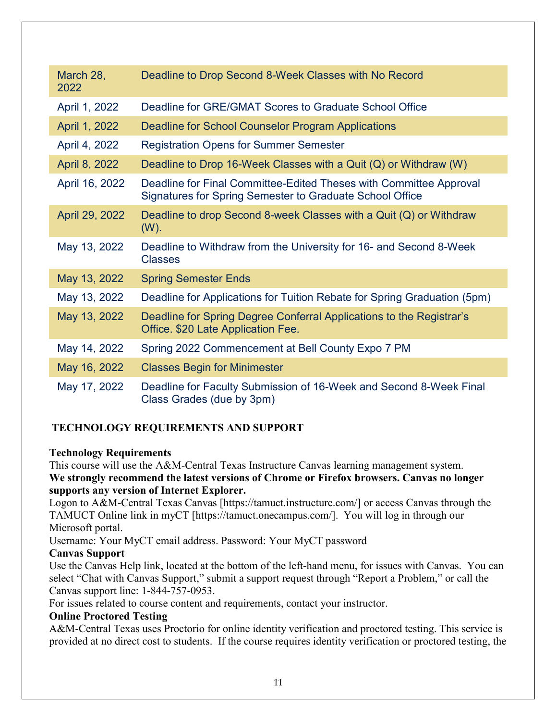| March 28,<br>2022 | Deadline to Drop Second 8-Week Classes with No Record                                                                          |
|-------------------|--------------------------------------------------------------------------------------------------------------------------------|
| April 1, 2022     | Deadline for GRE/GMAT Scores to Graduate School Office                                                                         |
| April 1, 2022     | Deadline for School Counselor Program Applications                                                                             |
| April 4, 2022     | <b>Registration Opens for Summer Semester</b>                                                                                  |
| April 8, 2022     | Deadline to Drop 16-Week Classes with a Quit $(Q)$ or Withdraw $(W)$                                                           |
| April 16, 2022    | Deadline for Final Committee-Edited Theses with Committee Approval<br>Signatures for Spring Semester to Graduate School Office |
| April 29, 2022    | Deadline to drop Second 8-week Classes with a Quit (Q) or Withdraw<br>$(W)$ .                                                  |
| May 13, 2022      | Deadline to Withdraw from the University for 16- and Second 8-Week<br><b>Classes</b>                                           |
| May 13, 2022      | <b>Spring Semester Ends</b>                                                                                                    |
| May 13, 2022      | Deadline for Applications for Tuition Rebate for Spring Graduation (5pm)                                                       |
| May 13, 2022      | Deadline for Spring Degree Conferral Applications to the Registrar's<br>Office. \$20 Late Application Fee.                     |
| May 14, 2022      | Spring 2022 Commencement at Bell County Expo 7 PM                                                                              |
| May 16, 2022      | <b>Classes Begin for Minimester</b>                                                                                            |
| May 17, 2022      | Deadline for Faculty Submission of 16-Week and Second 8-Week Final<br>Class Grades (due by 3pm)                                |

# **TECHNOLOGY REQUIREMENTS AND SUPPORT**

### **Technology Requirements**

This course will use the A&M-Central Texas Instructure Canvas learning management system. **We strongly recommend the latest versions of Chrome or Firefox browsers. Canvas no longer supports any version of Internet Explorer.**

Logon to A&M-Central Texas Canvas [https://tamuct.instructure.com/] or access Canvas through the TAMUCT Online link in myCT [https://tamuct.onecampus.com/]. You will log in through our Microsoft portal.

Username: Your MyCT email address. Password: Your MyCT password

### **Canvas Support**

Use the Canvas Help link, located at the bottom of the left-hand menu, for issues with Canvas. You can select "Chat with Canvas Support," submit a support request through "Report a Problem," or call the Canvas support line: 1-844-757-0953.

For issues related to course content and requirements, contact your instructor.

### **Online Proctored Testing**

A&M-Central Texas uses Proctorio for online identity verification and proctored testing. This service is provided at no direct cost to students. If the course requires identity verification or proctored testing, the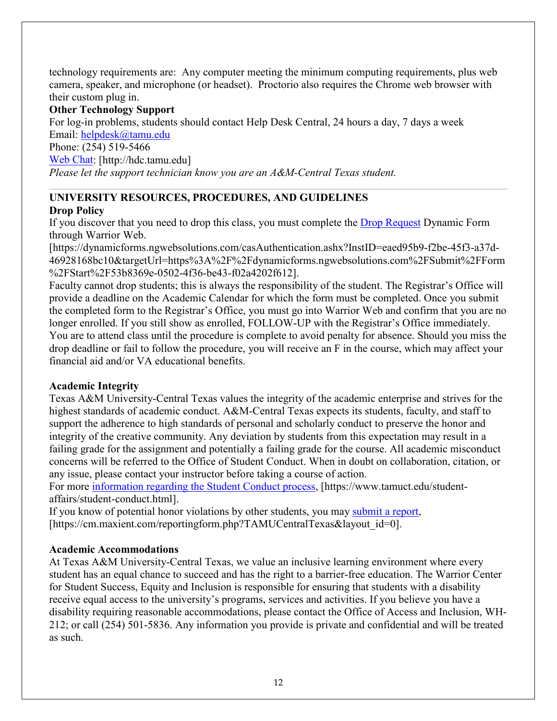technology requirements are: Any computer meeting the minimum computing requirements, plus web camera, speaker, and microphone (or headset). Proctorio also requires the Chrome web browser with their custom plug in.

### **Other Technology Support**

For log-in problems, students should contact Help Desk Central, 24 hours a day, 7 days a week Email: [helpdesk@tamu.edu](mailto:helpdesk@tamu.edu) Phone: (254) 519-5466 [Web Chat:](http://hdc.tamu.edu/) [http://hdc.tamu.edu] *Please let the support technician know you are an A&M-Central Texas student.*

### **UNIVERSITY RESOURCES, PROCEDURES, AND GUIDELINES Drop Policy**

If you discover that you need to drop this class, you must complete the [Drop Request](https://dynamicforms.ngwebsolutions.com/casAuthentication.ashx?InstID=eaed95b9-f2be-45f3-a37d-46928168bc10&targetUrl=https%3A%2F%2Fdynamicforms.ngwebsolutions.com%2FSubmit%2FForm%2FStart%2F53b8369e-0502-4f36-be43-f02a4202f612) Dynamic Form through Warrior Web.

[https://dynamicforms.ngwebsolutions.com/casAuthentication.ashx?InstID=eaed95b9-f2be-45f3-a37d-46928168bc10&targetUrl=https%3A%2F%2Fdynamicforms.ngwebsolutions.com%2FSubmit%2FForm %2FStart%2F53b8369e-0502-4f36-be43-f02a4202f612].

Faculty cannot drop students; this is always the responsibility of the student. The Registrar's Office will provide a deadline on the Academic Calendar for which the form must be completed. Once you submit the completed form to the Registrar's Office, you must go into Warrior Web and confirm that you are no longer enrolled. If you still show as enrolled, FOLLOW-UP with the Registrar's Office immediately. You are to attend class until the procedure is complete to avoid penalty for absence. Should you miss the drop deadline or fail to follow the procedure, you will receive an F in the course, which may affect your financial aid and/or VA educational benefits.

### **Academic Integrity**

Texas A&M University-Central Texas values the integrity of the academic enterprise and strives for the highest standards of academic conduct. A&M-Central Texas expects its students, faculty, and staff to support the adherence to high standards of personal and scholarly conduct to preserve the honor and integrity of the creative community. Any deviation by students from this expectation may result in a failing grade for the assignment and potentially a failing grade for the course. All academic misconduct concerns will be referred to the Office of Student Conduct. When in doubt on collaboration, citation, or any issue, please contact your instructor before taking a course of action.

For more [information regarding the Student Conduct process,](https://nam04.safelinks.protection.outlook.com/?url=https%3A%2F%2Fwww.tamuct.edu%2Fstudent-affairs%2Fstudent-conduct.html&data=04%7C01%7Clisa.bunkowski%40tamuct.edu%7Ccfb6e486f24745f53e1a08d910055cb2%7C9eed4e3000f744849ff193ad8005acec%7C0%7C0%7C637558437485252160%7CUnknown%7CTWFpbGZsb3d8eyJWIjoiMC4wLjAwMDAiLCJQIjoiV2luMzIiLCJBTiI6Ik1haWwiLCJXVCI6Mn0%3D%7C1000&sdata=yjftDEVHvLX%2FhM%2FcFU0B99krV1RgEWR%2BJ%2BhvtoR6TYk%3D&reserved=0) [https://www.tamuct.edu/studentaffairs/student-conduct.html].

If you know of potential honor violations by other students, you may [submit a report,](https://nam04.safelinks.protection.outlook.com/?url=https%3A%2F%2Fcm.maxient.com%2Freportingform.php%3FTAMUCentralTexas%26layout_id%3D0&data=04%7C01%7Clisa.bunkowski%40tamuct.edu%7Ccfb6e486f24745f53e1a08d910055cb2%7C9eed4e3000f744849ff193ad8005acec%7C0%7C0%7C637558437485262157%7CUnknown%7CTWFpbGZsb3d8eyJWIjoiMC4wLjAwMDAiLCJQIjoiV2luMzIiLCJBTiI6Ik1haWwiLCJXVCI6Mn0%3D%7C1000&sdata=CXGkOa6uPDPX1IMZ87z3aZDq2n91xfHKu4MMS43Ejjk%3D&reserved=0) [https://cm.maxient.com/reportingform.php?TAMUCentralTexas&layout\_id=0].

### **Academic Accommodations**

At Texas A&M University-Central Texas, we value an inclusive learning environment where every student has an equal chance to succeed and has the right to a barrier-free education. The Warrior Center for Student Success, Equity and Inclusion is responsible for ensuring that students with a disability receive equal access to the university's programs, services and activities. If you believe you have a disability requiring reasonable accommodations, please contact the Office of Access and Inclusion, WH-212; or call (254) 501-5836. Any information you provide is private and confidential and will be treated as such.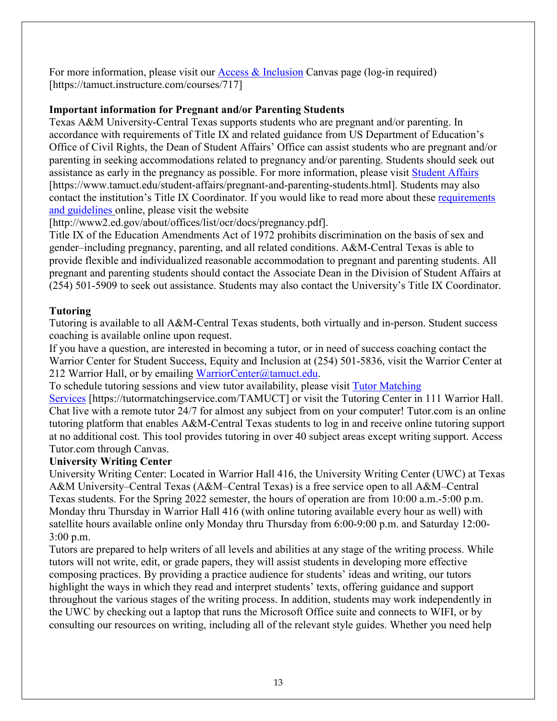For more information, please visit our [Access & Inclusion](https://tamuct.instructure.com/courses/717) Canvas page (log-in required) [https://tamuct.instructure.com/courses/717]

### **Important information for Pregnant and/or Parenting Students**

Texas A&M University-Central Texas supports students who are pregnant and/or parenting. In accordance with requirements of Title IX and related guidance from US Department of Education's Office of Civil Rights, the Dean of Student Affairs' Office can assist students who are pregnant and/or parenting in seeking accommodations related to pregnancy and/or parenting. Students should seek out assistance as early in the pregnancy as possible. For more information, please visit [Student Affairs](https://www.tamuct.edu/student-affairs/pregnant-and-parenting-students.html) [https://www.tamuct.edu/student-affairs/pregnant-and-parenting-students.html]. Students may also contact the institution's Title IX Coordinator. If you would like to read more about these [requirements](http://www2.ed.gov/about/offices/list/ocr/docs/pregnancy.pdf)  [and guidelines](http://www2.ed.gov/about/offices/list/ocr/docs/pregnancy.pdf) online, please visit the website

[http://www2.ed.gov/about/offices/list/ocr/docs/pregnancy.pdf].

Title IX of the Education Amendments Act of 1972 prohibits discrimination on the basis of sex and gender–including pregnancy, parenting, and all related conditions. A&M-Central Texas is able to provide flexible and individualized reasonable accommodation to pregnant and parenting students. All pregnant and parenting students should contact the Associate Dean in the Division of Student Affairs at (254) 501-5909 to seek out assistance. Students may also contact the University's Title IX Coordinator.

# **Tutoring**

Tutoring is available to all A&M-Central Texas students, both virtually and in-person. Student success coaching is available online upon request.

If you have a question, are interested in becoming a tutor, or in need of success coaching contact the Warrior Center for Student Success, Equity and Inclusion at (254) 501-5836, visit the Warrior Center at 212 Warrior Hall, or by emailing [WarriorCenter@tamuct.edu.](mailto:WarriorCenter@tamuct.edu)

To schedule tutoring sessions and view tutor availability, please visit [Tutor Matching](https://tutormatchingservice.com/TAMUCT) 

[Services](https://tutormatchingservice.com/TAMUCT) [https://tutormatchingservice.com/TAMUCT] or visit the Tutoring Center in 111 Warrior Hall. Chat live with a remote tutor 24/7 for almost any subject from on your computer! Tutor.com is an online tutoring platform that enables A&M-Central Texas students to log in and receive online tutoring support at no additional cost. This tool provides tutoring in over 40 subject areas except writing support. Access Tutor.com through Canvas.

### **University Writing Center**

University Writing Center: Located in Warrior Hall 416, the University Writing Center (UWC) at Texas A&M University–Central Texas (A&M–Central Texas) is a free service open to all A&M–Central Texas students. For the Spring 2022 semester, the hours of operation are from 10:00 a.m.-5:00 p.m. Monday thru Thursday in Warrior Hall 416 (with online tutoring available every hour as well) with satellite hours available online only Monday thru Thursday from 6:00-9:00 p.m. and Saturday 12:00- 3:00 p.m.

Tutors are prepared to help writers of all levels and abilities at any stage of the writing process. While tutors will not write, edit, or grade papers, they will assist students in developing more effective composing practices. By providing a practice audience for students' ideas and writing, our tutors highlight the ways in which they read and interpret students' texts, offering guidance and support throughout the various stages of the writing process. In addition, students may work independently in the UWC by checking out a laptop that runs the Microsoft Office suite and connects to WIFI, or by consulting our resources on writing, including all of the relevant style guides. Whether you need help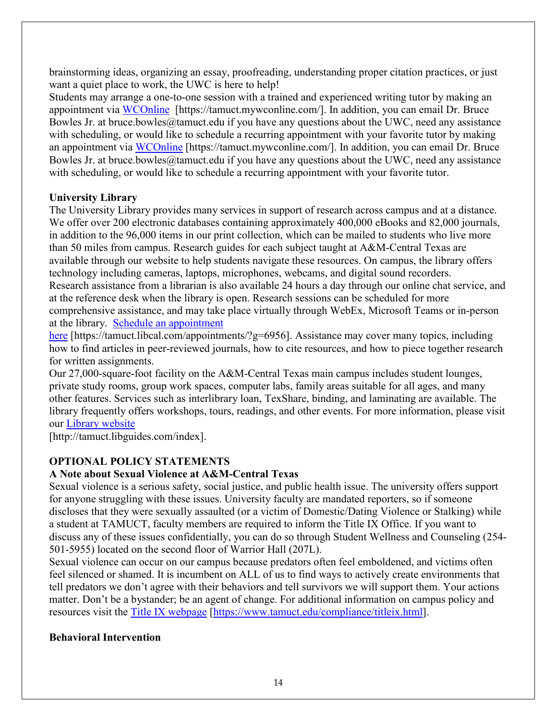brainstorming ideas, organizing an essay, proofreading, understanding proper citation practices, or just want a quiet place to work, the UWC is here to help!

Students may arrange a one-to-one session with a trained and experienced writing tutor by making an appointment via [WCOnline](https://tamuct.mywconline.com/) [https://tamuct.mywconline.com/]. In addition, you can email Dr. Bruce Bowles Jr. at bruce.bowles@tamuct.edu if you have any questions about the UWC, need any assistance with scheduling, or would like to schedule a recurring appointment with your favorite tutor by making an appointment via [WCOnline](https://tamuct.mywconline.com/) [https://tamuct.mywconline.com/]. In addition, you can email Dr. Bruce Bowles Jr. at bruce.bowles@tamuct.edu if you have any questions about the UWC, need any assistance with scheduling, or would like to schedule a recurring appointment with your favorite tutor.

## **University Library**

The University Library provides many services in support of research across campus and at a distance. We offer over 200 electronic databases containing approximately 400,000 eBooks and 82,000 journals, in addition to the 96,000 items in our print collection, which can be mailed to students who live more than 50 miles from campus. Research guides for each subject taught at A&M-Central Texas are available through our website to help students navigate these resources. On campus, the library offers technology including cameras, laptops, microphones, webcams, and digital sound recorders. Research assistance from a librarian is also available 24 hours a day through our online chat service, and at the reference desk when the library is open. Research sessions can be scheduled for more comprehensive assistance, and may take place virtually through WebEx, Microsoft Teams or in-person at the library. [Schedule an appointment](https://nam04.safelinks.protection.outlook.com/?url=https%3A%2F%2Ftamuct.libcal.com%2Fappointments%2F%3Fg%3D6956&data=04%7C01%7Clisa.bunkowski%40tamuct.edu%7Cde2c07d9f5804f09518008d9ab7ba6ff%7C9eed4e3000f744849ff193ad8005acec%7C0%7C0%7C637729369835011558%7CUnknown%7CTWFpbGZsb3d8eyJWIjoiMC4wLjAwMDAiLCJQIjoiV2luMzIiLCJBTiI6Ik1haWwiLCJXVCI6Mn0%3D%7C3000&sdata=KhtjgRSAw9aq%2FoBsB6wyu8b7PSuGN5EGPypzr3Ty2No%3D&reserved=0) 

[here](https://nam04.safelinks.protection.outlook.com/?url=https%3A%2F%2Ftamuct.libcal.com%2Fappointments%2F%3Fg%3D6956&data=04%7C01%7Clisa.bunkowski%40tamuct.edu%7Cde2c07d9f5804f09518008d9ab7ba6ff%7C9eed4e3000f744849ff193ad8005acec%7C0%7C0%7C637729369835011558%7CUnknown%7CTWFpbGZsb3d8eyJWIjoiMC4wLjAwMDAiLCJQIjoiV2luMzIiLCJBTiI6Ik1haWwiLCJXVCI6Mn0%3D%7C3000&sdata=KhtjgRSAw9aq%2FoBsB6wyu8b7PSuGN5EGPypzr3Ty2No%3D&reserved=0) [https://tamuct.libcal.com/appointments/?g=6956]. Assistance may cover many topics, including how to find articles in peer-reviewed journals, how to cite resources, and how to piece together research for written assignments.

Our 27,000-square-foot facility on the A&M-Central Texas main campus includes student lounges, private study rooms, group work spaces, computer labs, family areas suitable for all ages, and many other features. Services such as interlibrary loan, TexShare, binding, and laminating are available. The library frequently offers workshops, tours, readings, and other events. For more information, please visit our [Library website](https://nam04.safelinks.protection.outlook.com/?url=https%3A%2F%2Ftamuct.libguides.com%2Findex&data=04%7C01%7Clisa.bunkowski%40tamuct.edu%7C7d8489e8839a4915335f08d916f067f2%7C9eed4e3000f744849ff193ad8005acec%7C0%7C0%7C637566044056484222%7CUnknown%7CTWFpbGZsb3d8eyJWIjoiMC4wLjAwMDAiLCJQIjoiV2luMzIiLCJBTiI6Ik1haWwiLCJXVCI6Mn0%3D%7C1000&sdata=2R755V6rcIyedGrd4Os5rkgn1PvhHKU3kUV1vBKiHFo%3D&reserved=0)

[http://tamuct.libguides.com/index].

# **OPTIONAL POLICY STATEMENTS**

### **A Note about Sexual Violence at A&M-Central Texas**

Sexual violence is a serious safety, social justice, and public health issue. The university offers support for anyone struggling with these issues. University faculty are mandated reporters, so if someone discloses that they were sexually assaulted (or a victim of Domestic/Dating Violence or Stalking) while a student at TAMUCT, faculty members are required to inform the Title IX Office. If you want to discuss any of these issues confidentially, you can do so through Student Wellness and Counseling (254- 501-5955) located on the second floor of Warrior Hall (207L).

Sexual violence can occur on our campus because predators often feel emboldened, and victims often feel silenced or shamed. It is incumbent on ALL of us to find ways to actively create environments that tell predators we don't agree with their behaviors and tell survivors we will support them. Your actions matter. Don't be a bystander; be an agent of change. For additional information on campus policy and resources visit the [Title IX webpage](https://www.tamuct.edu/compliance/titleix.html) [\[https://www.tamuct.edu/compliance/titleix.html\]](https://www.tamuct.edu/compliance/titleix.html).

### **Behavioral Intervention**